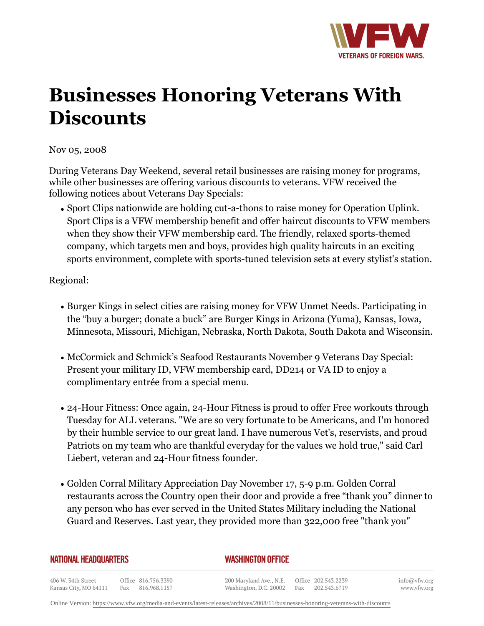

## **Businesses Honoring Veterans With Discounts**

## Nov 05, 2008

During Veterans Day Weekend, several retail businesses are raising money for programs, while other businesses are offering various discounts to veterans. VFW received the following notices about Veterans Day Specials:

• Sport Clips nationwide are holding cut-a-thons to raise money for Operation Uplink. Sport Clips is a VFW membership benefit and offer haircut discounts to VFW members when they show their VFW membership card. The friendly, relaxed sports-themed company, which targets men and boys, provides high quality haircuts in an exciting sports environment, complete with sports-tuned television sets at every stylist's station.

Regional:

- Burger Kings in select cities are raising money for VFW Unmet Needs. Participating in the "buy a burger; donate a buck" are Burger Kings in Arizona (Yuma), Kansas, Iowa, Minnesota, Missouri, Michigan, Nebraska, North Dakota, South Dakota and Wisconsin.
- McCormick and Schmick's Seafood Restaurants November 9 Veterans Day Special: Present your military ID, VFW membership card, DD214 or VA ID to enjoy a complimentary entrée from a special menu.
- 24-Hour Fitness: Once again, 24-Hour Fitness is proud to offer Free workouts through Tuesday for ALL veterans. "We are so very fortunate to be Americans, and I'm honored by their humble service to our great land. I have numerous Vet's, reservists, and proud Patriots on my team who are thankful everyday for the values we hold true," said Carl Liebert, veteran and 24-Hour fitness founder.
- Golden Corral Military Appreciation Day November 17, 5-9 p.m. Golden Corral restaurants across the Country open their door and provide a free "thank you" dinner to any person who has ever served in the United States Military including the National Guard and Reserves. Last year, they provided more than 322,000 free "thank you"

## *WASHINGTON OFFICE*

406 W. 34th Street Office 816.756.3390 Fax 816.968.1157 Kansas City, MO 64111

200 Maryland Ave., N.E. Washington, D.C. 20002 info@vfw.org www.vfw.org

Online Version:<https://www.vfw.org/media-and-events/latest-releases/archives/2008/11/businesses-honoring-veterans-with-discounts>